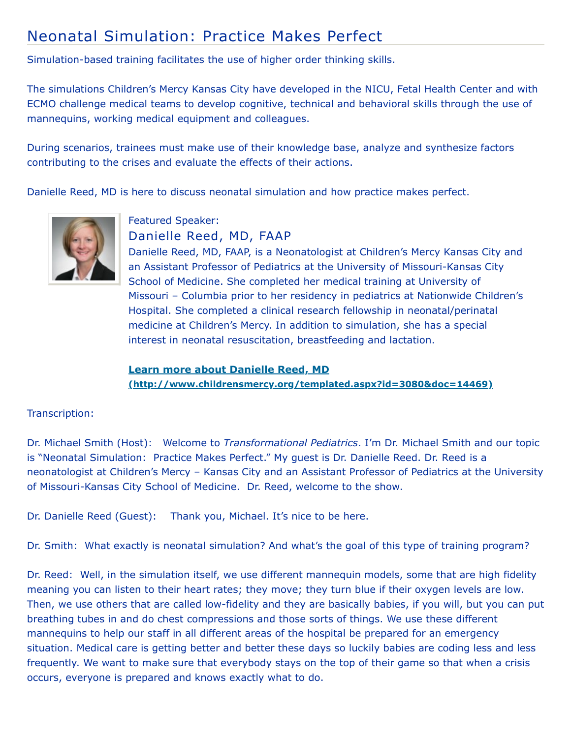# Neonatal Simulation: Practice Makes Perfect

Simulation-based training facilitates the use of higher order thinking skills.

The simulations Children's Mercy Kansas City have developed in the NICU, Fetal Health Center and with ECMO challenge medical teams to develop cognitive, technical and behavioral skills through the use of mannequins, working medical equipment and colleagues.

During scenarios, trainees must make use of their knowledge base, analyze and synthesize factors contributing to the crises and evaluate the effects of their actions.

Danielle Reed, MD is here to discuss neonatal simulation and how practice makes perfect.



Featured Speaker: Danielle Reed, MD, FAAP

Danielle Reed, MD, FAAP, is a Neonatologist at Children's Mercy Kansas City and an Assistant Professor of Pediatrics at the University of Missouri-Kansas City School of Medicine. She completed her medical training at University of Missouri – Columbia prior to her residency in pediatrics at Nationwide Children's Hospital. She completed a clinical research fellowship in neonatal/perinatal medicine at Children's Mercy. In addition to simulation, she has a special interest in neonatal resuscitation, breastfeeding and lactation.

## **Learn more about Danielle Reed, MD [\(http://www.childrensmercy.org/templated.aspx?id=3080&doc=14469\)](http://www.childrensmercy.org/templated.aspx?id=3080&doc=14469)**

### Transcription:

Dr. Michael Smith (Host): Welcome to *Transformational Pediatrics*. I'm Dr. Michael Smith and our topic is "Neonatal Simulation: Practice Makes Perfect." My guest is Dr. Danielle Reed. Dr. Reed is a neonatologist at Children's Mercy – Kansas City and an Assistant Professor of Pediatrics at the University of Missouri-Kansas City School of Medicine. Dr. Reed, welcome to the show.

Dr. Danielle Reed (Guest): Thank you, Michael. It's nice to be here.

Dr. Smith: What exactly is neonatal simulation? And what's the goal of this type of training program?

Dr. Reed: Well, in the simulation itself, we use different mannequin models, some that are high fidelity meaning you can listen to their heart rates; they move; they turn blue if their oxygen levels are low. Then, we use others that are called low-fidelity and they are basically babies, if you will, but you can put breathing tubes in and do chest compressions and those sorts of things. We use these different mannequins to help our staff in all different areas of the hospital be prepared for an emergency situation. Medical care is getting better and better these days so luckily babies are coding less and less frequently. We want to make sure that everybody stays on the top of their game so that when a crisis occurs, everyone is prepared and knows exactly what to do.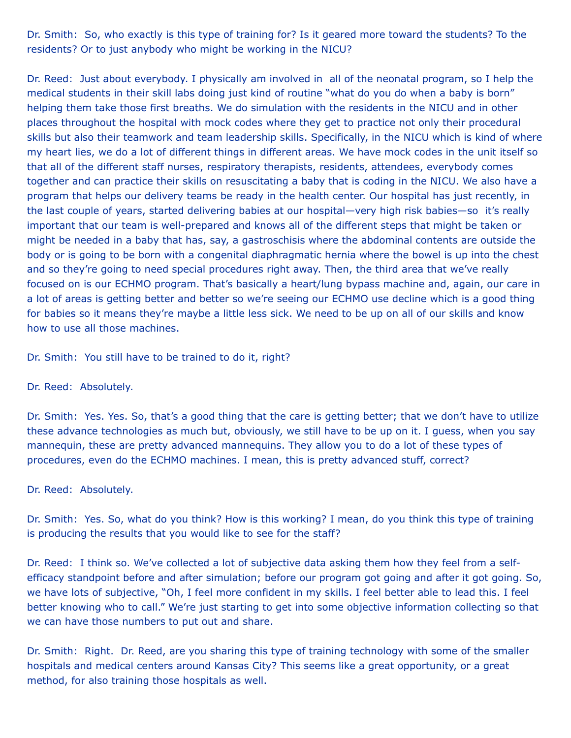Dr. Smith: So, who exactly is this type of training for? Is it geared more toward the students? To the residents? Or to just anybody who might be working in the NICU?

Dr. Reed: Just about everybody. I physically am involved in all of the neonatal program, so I help the medical students in their skill labs doing just kind of routine "what do you do when a baby is born" helping them take those first breaths. We do simulation with the residents in the NICU and in other places throughout the hospital with mock codes where they get to practice not only their procedural skills but also their teamwork and team leadership skills. Specifically, in the NICU which is kind of where my heart lies, we do a lot of different things in different areas. We have mock codes in the unit itself so that all of the different staff nurses, respiratory therapists, residents, attendees, everybody comes together and can practice their skills on resuscitating a baby that is coding in the NICU. We also have a program that helps our delivery teams be ready in the health center. Our hospital has just recently, in the last couple of years, started delivering babies at our hospital—very high risk babies—so it's really important that our team is well-prepared and knows all of the different steps that might be taken or might be needed in a baby that has, say, a gastroschisis where the abdominal contents are outside the body or is going to be born with a congenital diaphragmatic hernia where the bowel is up into the chest and so they're going to need special procedures right away. Then, the third area that we've really focused on is our ECHMO program. That's basically a heart/lung bypass machine and, again, our care in a lot of areas is getting better and better so we're seeing our ECHMO use decline which is a good thing for babies so it means they're maybe a little less sick. We need to be up on all of our skills and know how to use all those machines.

Dr. Smith: You still have to be trained to do it, right?

#### Dr. Reed: Absolutely.

Dr. Smith: Yes. Yes. So, that's a good thing that the care is getting better; that we don't have to utilize these advance technologies as much but, obviously, we still have to be up on it. I guess, when you say mannequin, these are pretty advanced mannequins. They allow you to do a lot of these types of procedures, even do the ECHMO machines. I mean, this is pretty advanced stuff, correct?

#### Dr. Reed: Absolutely.

Dr. Smith: Yes. So, what do you think? How is this working? I mean, do you think this type of training is producing the results that you would like to see for the staff?

Dr. Reed: I think so. We've collected a lot of subjective data asking them how they feel from a selfefficacy standpoint before and after simulation; before our program got going and after it got going. So, we have lots of subjective, "Oh, I feel more confident in my skills. I feel better able to lead this. I feel better knowing who to call." We're just starting to get into some objective information collecting so that we can have those numbers to put out and share.

Dr. Smith: Right. Dr. Reed, are you sharing this type of training technology with some of the smaller hospitals and medical centers around Kansas City? This seems like a great opportunity, or a great method, for also training those hospitals as well.